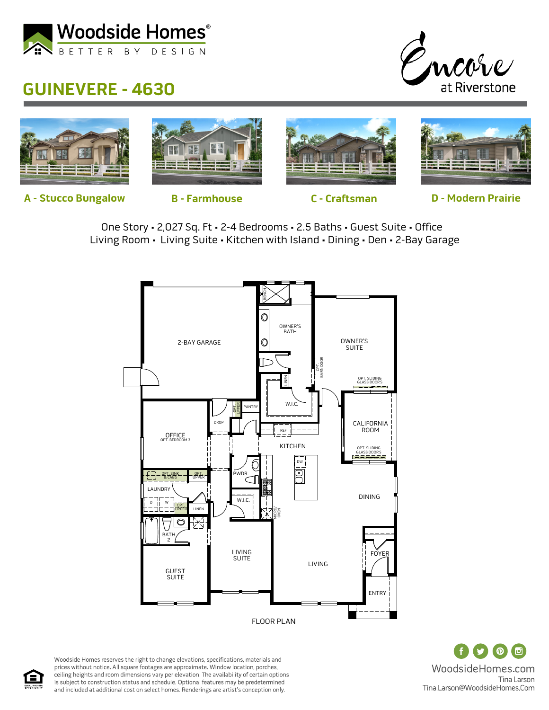

## **GUINEVERE - 4630**





**A - Stucco Bungalow B - Farmhouse C - Craftsman D - Modern Prairie**

One Story • 2,027 Sq. Ft • 2-4 Bedrooms • 2.5 Baths • Guest Suite • Office Living Room • Living Suite • Kitchen with Island • Dining • Den • 2-Bay Garage



 $\circ$   $\circ$ WoodsideHomes.com Tina Larson Tina.Larson@WoodsideHomes.Com

Woodside Homes reserves the right to change elevations, specifications, materials and prices without notice. All square footages are approximate. Window location, porches, ceiling heights and room dimensions vary per elevation. The availability of certain options is subject to construction status and schedule. Optional features may be predetermined and included at additional cost on select homes. Renderings are artist's conception only.